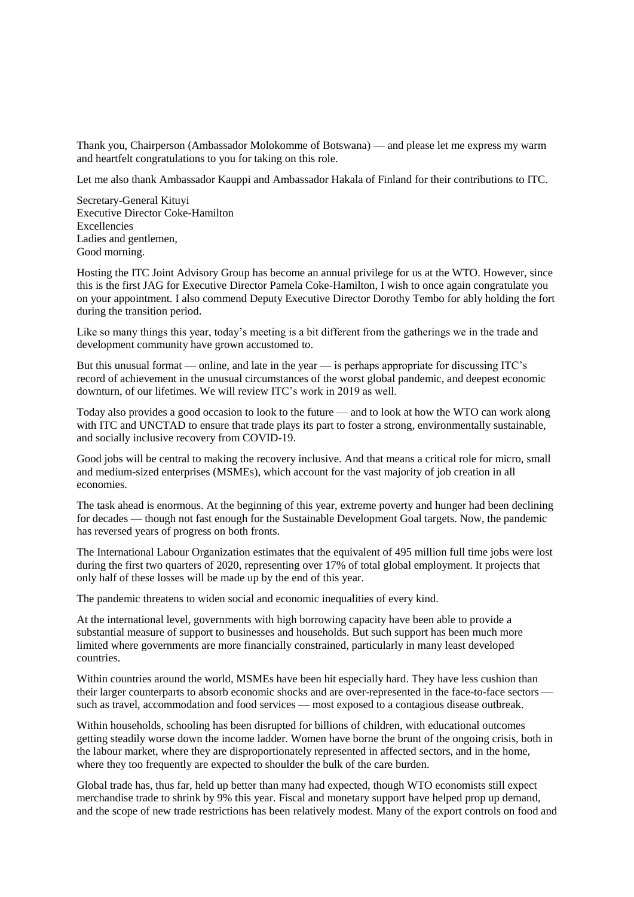Thank you, Chairperson (Ambassador Molokomme of Botswana) — and please let me express my warm and heartfelt congratulations to you for taking on this role.

Let me also thank Ambassador Kauppi and Ambassador Hakala of Finland for their contributions to ITC.

Secretary-General Kituyi Executive Director Coke-Hamilton Excellencies Ladies and gentlemen, Good morning.

Hosting the ITC Joint Advisory Group has become an annual privilege for us at the WTO. However, since this is the first JAG for Executive Director Pamela Coke-Hamilton, I wish to once again congratulate you on your appointment. I also commend Deputy Executive Director Dorothy Tembo for ably holding the fort during the transition period.

Like so many things this year, today's meeting is a bit different from the gatherings we in the trade and development community have grown accustomed to.

But this unusual format — online, and late in the year — is perhaps appropriate for discussing ITC's record of achievement in the unusual circumstances of the worst global pandemic, and deepest economic downturn, of our lifetimes. We will review ITC's work in 2019 as well.

Today also provides a good occasion to look to the future — and to look at how the WTO can work along with ITC and UNCTAD to ensure that trade plays its part to foster a strong, environmentally sustainable, and socially inclusive recovery from COVID-19.

Good jobs will be central to making the recovery inclusive. And that means a critical role for micro, small and medium-sized enterprises (MSMEs), which account for the vast majority of job creation in all economies.

The task ahead is enormous. At the beginning of this year, extreme poverty and hunger had been declining for decades — though not fast enough for the Sustainable Development Goal targets. Now, the pandemic has reversed years of progress on both fronts.

The International Labour Organization estimates that the equivalent of 495 million full time jobs were lost during the first two quarters of 2020, representing over 17% of total global employment. It projects that only half of these losses will be made up by the end of this year.

The pandemic threatens to widen social and economic inequalities of every kind.

At the international level, governments with high borrowing capacity have been able to provide a substantial measure of support to businesses and households. But such support has been much more limited where governments are more financially constrained, particularly in many least developed countries.

Within countries around the world, MSMEs have been hit especially hard. They have less cushion than their larger counterparts to absorb economic shocks and are over-represented in the face-to-face sectors such as travel, accommodation and food services — most exposed to a contagious disease outbreak.

Within households, schooling has been disrupted for billions of children, with educational outcomes getting steadily worse down the income ladder. Women have borne the brunt of the ongoing crisis, both in the labour market, where they are disproportionately represented in affected sectors, and in the home, where they too frequently are expected to shoulder the bulk of the care burden.

Global trade has, thus far, held up better than many had expected, though WTO economists still expect merchandise trade to shrink by 9% this year. Fiscal and monetary support have helped prop up demand, and the scope of new trade restrictions has been relatively modest. Many of the export controls on food and